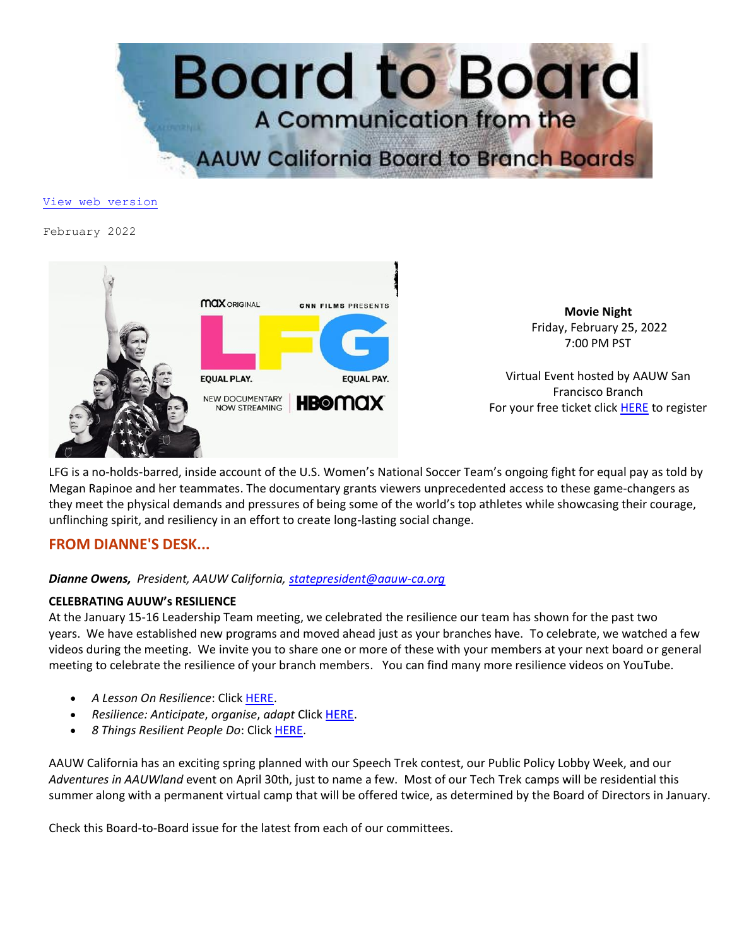

#### [View web version](https://bor.aauw-ca.org/sendy/w/eookH0PlDlBfYp3s1iFafA/ue11VS1tEWQ3n41XQtnOMA/dfgaPxvGJLz8aG3dBEde6A)

#### February 2022



**Movie Night** Friday, February 25, 2022 7:00 PM PST

Virtual Event hosted by AAUW San Francisco Branch For your free ticket click **[HERE](https://bor.aauw-ca.org/sendy/l/eookH0PlDlBfYp3s1iFafA/kJZliCY0znsVrJ4TuykiWA/dfgaPxvGJLz8aG3dBEde6A)** to register

LFG is a no-holds-barred, inside account of the U.S. Women's National Soccer Team's ongoing fight for equal pay as told by Megan Rapinoe and her teammates. The documentary grants viewers unprecedented access to these game-changers as they meet the physical demands and pressures of being some of the world's top athletes while showcasing their courage, unflinching spirit, and resiliency in an effort to create long-lasting social change.

# **FROM DIANNE'S DESK...**

### *Dianne Owens, President, AAUW California, [statepresident@aauw-ca.org](mailto:statepresident@aauw-ca.org)*

### **CELEBRATING AUUW's RESILIENCE**

At the January 15-16 Leadership Team meeting, we celebrated the resilience our team has shown for the past two years. We have established new programs and moved ahead just as your branches have. To celebrate, we watched a few videos during the meeting. We invite you to share one or more of these with your members at your next board or general meeting to celebrate the resilience of your branch members. You can find many more resilience videos on YouTube.

- *A Lesson On Resilience*: Clic[k HERE.](https://bor.aauw-ca.org/sendy/l/eookH0PlDlBfYp3s1iFafA/97633763k8927fitt0GH37TIP6Qw/dfgaPxvGJLz8aG3dBEde6A)
- *Resilience: Anticipate*, *organise*, *adapt* Click [HERE.](https://bor.aauw-ca.org/sendy/l/eookH0PlDlBfYp3s1iFafA/HVK5qvgMEo892E2UNgWxpXvg/dfgaPxvGJLz8aG3dBEde6A)
- *8 Things Resilient People Do*: Click [HERE.](https://bor.aauw-ca.org/sendy/l/eookH0PlDlBfYp3s1iFafA/jXfnsOxHxlFE7WHNx62zGw/dfgaPxvGJLz8aG3dBEde6A)

AAUW California has an exciting spring planned with our Speech Trek contest, our Public Policy Lobby Week, and our *Adventures in AAUWland* event on April 30th, just to name a few. Most of our Tech Trek camps will be residential this summer along with a permanent virtual camp that will be offered twice, as determined by the Board of Directors in January.

Check this Board-to-Board issue for the latest from each of our committees.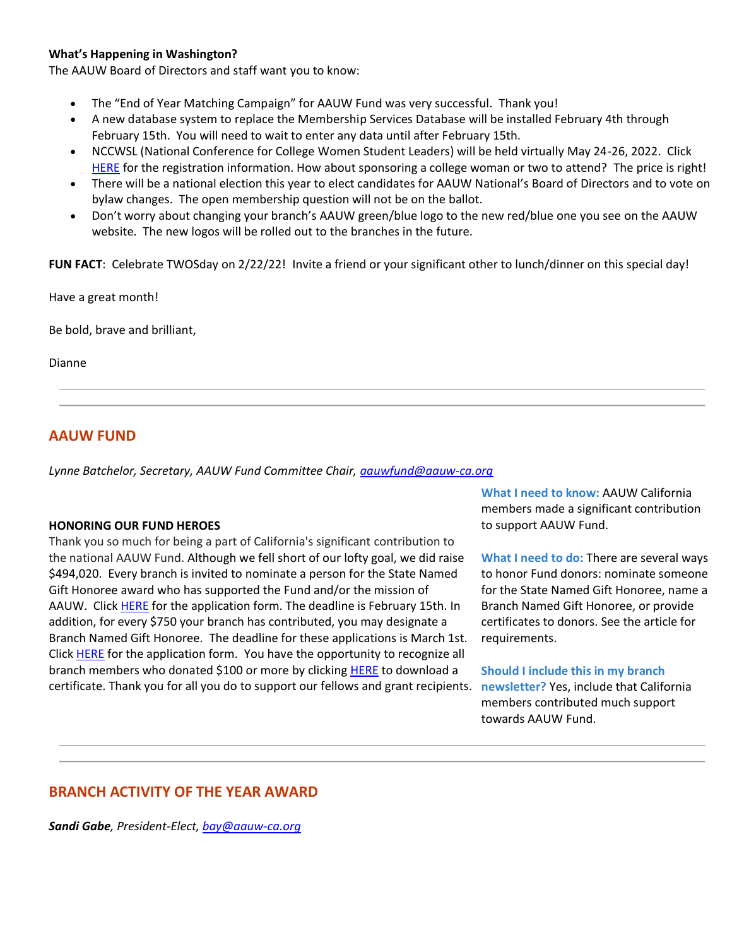### **What's Happening in Washington?**

The AAUW Board of Directors and staff want you to know:

- The "End of Year Matching Campaign" for AAUW Fund was very successful. Thank you!
- A new database system to replace the Membership Services Database will be installed February 4th through February 15th. You will need to wait to enter any data until after February 15th.
- NCCWSL (National Conference for College Women Student Leaders) will be held virtually May 24-26, 2022. Click [HERE](https://bor.aauw-ca.org/sendy/l/eookH0PlDlBfYp3s1iFafA/6LghY3OYBGZJuuMQFj52vQ/dfgaPxvGJLz8aG3dBEde6A) for the registration information. How about sponsoring a college woman or two to attend? The price is right!
- There will be a national election this year to elect candidates for AAUW National's Board of Directors and to vote on bylaw changes. The open membership question will not be on the ballot.
- Don't worry about changing your branch's AAUW green/blue logo to the new red/blue one you see on the AAUW website. The new logos will be rolled out to the branches in the future.

**FUN FACT**: Celebrate TWOSday on 2/22/22! Invite a friend or your significant other to lunch/dinner on this special day!

Have a great month!

Be bold, brave and brilliant,

Dianne

# **AAUW FUND**

*Lynne Batchelor, Secretary, AAUW Fund Committee Chair, [aauwfund@aauw-ca.org](mailto:aauwfund@aauw-ca.org)*

### **HONORING OUR FUND HEROES**

Thank you so much for being a part of California's significant contribution to the national AAUW Fund. Although we fell short of our lofty goal, we did raise \$494,020. Every branch is invited to nominate a person for the State Named Gift Honoree award who has supported the Fund and/or the mission of AAUW. Click [HERE](https://bor.aauw-ca.org/sendy/l/eookH0PlDlBfYp3s1iFafA/6YW0zLUs8RhSGEiSUQHJKQ/dfgaPxvGJLz8aG3dBEde6A) for the application form. The deadline is February 15th. In addition, for every \$750 your branch has contributed, you may designate a Branch Named Gift Honoree. The deadline for these applications is March 1st. Click [HERE](https://bor.aauw-ca.org/sendy/l/eookH0PlDlBfYp3s1iFafA/6YW0zLUs8RhSGEiSUQHJKQ/dfgaPxvGJLz8aG3dBEde6A) for the application form. You have the opportunity to recognize all branch members who donated \$100 or more by clicking [HERE](https://bor.aauw-ca.org/sendy/l/eookH0PlDlBfYp3s1iFafA/vE9ZtWp0oUoak3CDyJTQXg/dfgaPxvGJLz8aG3dBEde6A) to download a certificate. Thank you for all you do to support our fellows and grant recipients. **newsletter?** Yes, include that California

**What I need to know:** AAUW California members made a significant contribution to support AAUW Fund.

**What I need to do:** There are several ways to honor Fund donors: nominate someone for the State Named Gift Honoree, name a Branch Named Gift Honoree, or provide certificates to donors. See the article for requirements.

#### **Should I include this in my branch**

members contributed much support towards AAUW Fund.

# **BRANCH ACTIVITY OF THE YEAR AWARD**

*Sandi Gabe, President-Elect, [bay@aauw-ca.org](mailto:bay@aauw-ca.org)*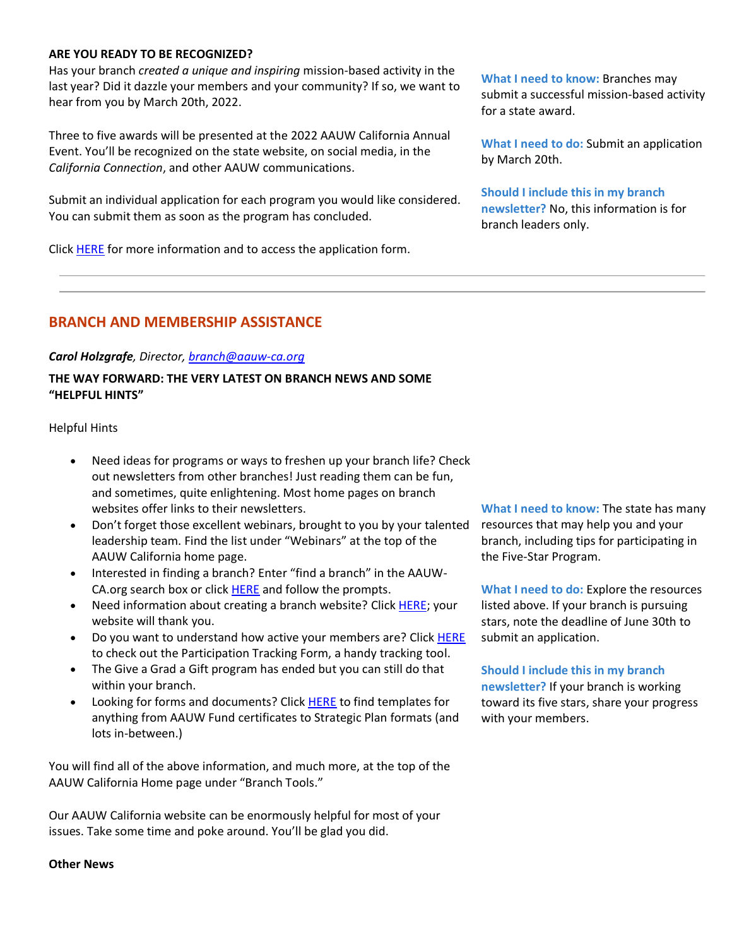#### **ARE YOU READY TO BE RECOGNIZED?**

Has your branch *created a unique and inspiring* mission-based activity in the last year? Did it dazzle your members and your community? If so, we want to hear from you by March 20th, 2022.

Three to five awards will be presented at the 2022 AAUW California Annual Event. You'll be recognized on the state website, on social media, in the *California Connection*, and other AAUW communications.

Submit an individual application for each program you would like considered. You can submit them as soon as the program has concluded.

Click [HERE](https://bor.aauw-ca.org/sendy/l/eookH0PlDlBfYp3s1iFafA/P892uwZrbMOBxL7Ewx2TIaJw/dfgaPxvGJLz8aG3dBEde6A) for more information and to access the application form.

**What I need to know:** Branches may submit a successful mission-based activity for a state award.

**What I need to do:** Submit an application by March 20th.

**Should I include this in my branch newsletter?** No, this information is for branch leaders only.

## **BRANCH AND MEMBERSHIP ASSISTANCE**

#### *Carol Holzgrafe, Director, [branch@aauw-ca.org](mailto:branch@aauw-ca.org)*

### **THE WAY FORWARD: THE VERY LATEST ON BRANCH NEWS AND SOME "HELPFUL HINTS"**

Helpful Hints

- Need ideas for programs or ways to freshen up your branch life? Check out newsletters from other branches! Just reading them can be fun, and sometimes, quite enlightening. Most home pages on branch websites offer links to their newsletters.
- Don't forget those excellent webinars, brought to you by your talented leadership team. Find the list under "Webinars" at the top of the AAUW California home page.
- Interested in finding a branch? Enter "find a branch" in the AAUW-CA.org search box or clic[k HERE](https://bor.aauw-ca.org/sendy/l/eookH0PlDlBfYp3s1iFafA/7639brP3lzQ0Nnrl763yLIZXSA/dfgaPxvGJLz8aG3dBEde6A) and follow the prompts.
- Need information about creating a branch website? Clic[k HERE;](https://bor.aauw-ca.org/sendy/l/eookH0PlDlBfYp3s1iFafA/y1EAqHUF3arEHbWf1g763pXw/dfgaPxvGJLz8aG3dBEde6A) your website will thank you.
- Do you want to understand how active your members are? Click [HERE](https://bor.aauw-ca.org/sendy/l/eookH0PlDlBfYp3s1iFafA/zZ56xNQGwRDNK892y1v57oQQ/dfgaPxvGJLz8aG3dBEde6A) to check out the Participation Tracking Form, a handy tracking tool.
- The Give a Grad a Gift program has ended but you can still do that within your branch.
- Looking for forms and documents? Click **HERE** to find templates for anything from AAUW Fund certificates to Strategic Plan formats (and lots in-between.)

You will find all of the above information, and much more, at the top of the AAUW California Home page under "Branch Tools."

Our AAUW California website can be enormously helpful for most of your issues. Take some time and poke around. You'll be glad you did.

**What I need to know:** The state has many resources that may help you and your branch, including tips for participating in the Five-Star Program.

**What I need to do:** Explore the resources listed above. If your branch is pursuing stars, note the deadline of June 30th to submit an application.

### **Should I include this in my branch**

**newsletter?** If your branch is working toward its five stars, share your progress with your members.

#### **Other News**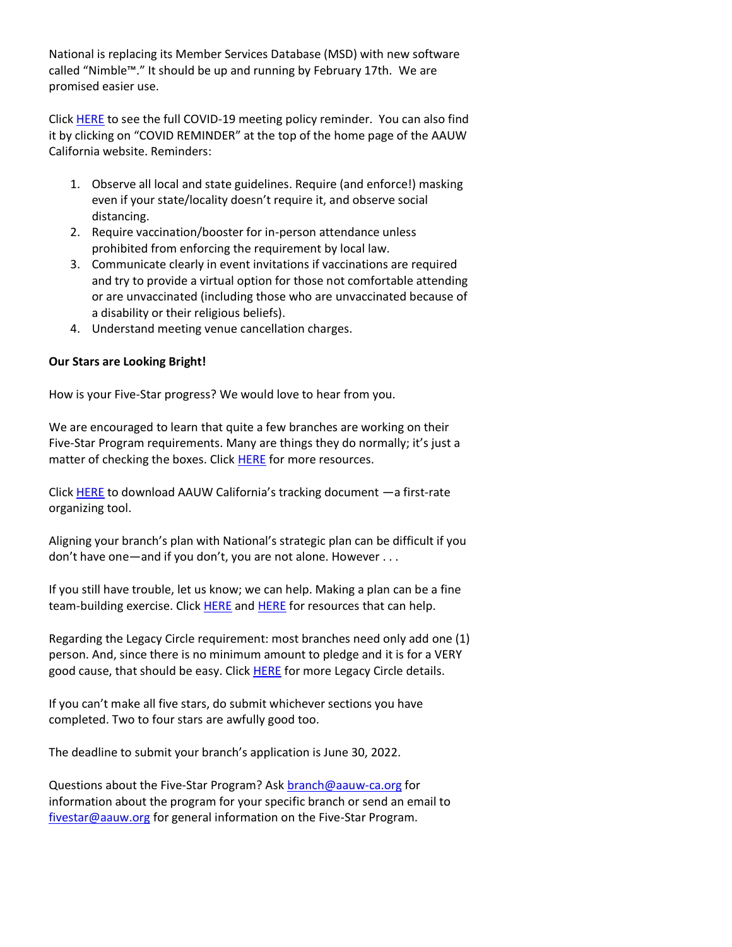National is replacing its Member Services Database (MSD) with new software called "Nimble™." It should be up and running by February 17th. We are promised easier use.

Click [HERE](https://bor.aauw-ca.org/sendy/l/eookH0PlDlBfYp3s1iFafA/vMsxF7763X7GiJt9C0OlJ1zQ/dfgaPxvGJLz8aG3dBEde6A) to see the full COVID-19 meeting policy reminder. You can also find it by clicking on "COVID REMINDER" at the top of the home page of the AAUW California website. Reminders:

- 1. Observe all local and state guidelines. Require (and enforce!) masking even if your state/locality doesn't require it, and observe social distancing.
- 2. Require vaccination/booster for in-person attendance unless prohibited from enforcing the requirement by local law.
- 3. Communicate clearly in event invitations if vaccinations are required and try to provide a virtual option for those not comfortable attending or are unvaccinated (including those who are unvaccinated because of a disability or their religious beliefs).
- 4. Understand meeting venue cancellation charges.

### **Our Stars are Looking Bright!**

How is your Five-Star progress? We would love to hear from you.

We are encouraged to learn that quite a few branches are working on their Five-Star Program requirements. Many are things they do normally; it's just a matter of checking the boxes. Click [HERE](https://bor.aauw-ca.org/sendy/l/eookH0PlDlBfYp3s1iFafA/1GtgS9zdVx0g763NXzGU9AGg/dfgaPxvGJLz8aG3dBEde6A) for more resources.

Click [HERE](https://bor.aauw-ca.org/sendy/l/eookH0PlDlBfYp3s1iFafA/8J0C0xl78aZQikuByUukog/dfgaPxvGJLz8aG3dBEde6A) to download AAUW California's tracking document —a first-rate organizing tool.

Aligning your branch's plan with National's strategic plan can be difficult if you don't have one—and if you don't, you are not alone. However . . .

If you still have trouble, let us know; we can help. Making a plan can be a fine team-building exercise. Click [HERE](https://bor.aauw-ca.org/sendy/l/eookH0PlDlBfYp3s1iFafA/ixAuiXmj9yw5BgBmxxAriw/dfgaPxvGJLz8aG3dBEde6A) and HERE for resources that can help.

Regarding the Legacy Circle requirement: most branches need only add one (1) person. And, since there is no minimum amount to pledge and it is for a VERY good cause, that should be easy. Click [HERE](https://bor.aauw-ca.org/sendy/l/eookH0PlDlBfYp3s1iFafA/tXRxwq66Lh0MNnysJxJD7g/dfgaPxvGJLz8aG3dBEde6A) for more Legacy Circle details.

If you can't make all five stars, do submit whichever sections you have completed. Two to four stars are awfully good too.

The deadline to submit your branch's application is June 30, 2022.

Questions about the Five-Star Program? Ask [branch@aauw-ca.org](mailto:branch@aauw-ca.org) for information about the program for your specific branch or send an email to [fivestar@aauw.org](mailto:fivestar@aauw.org) for general information on the Five-Star Program.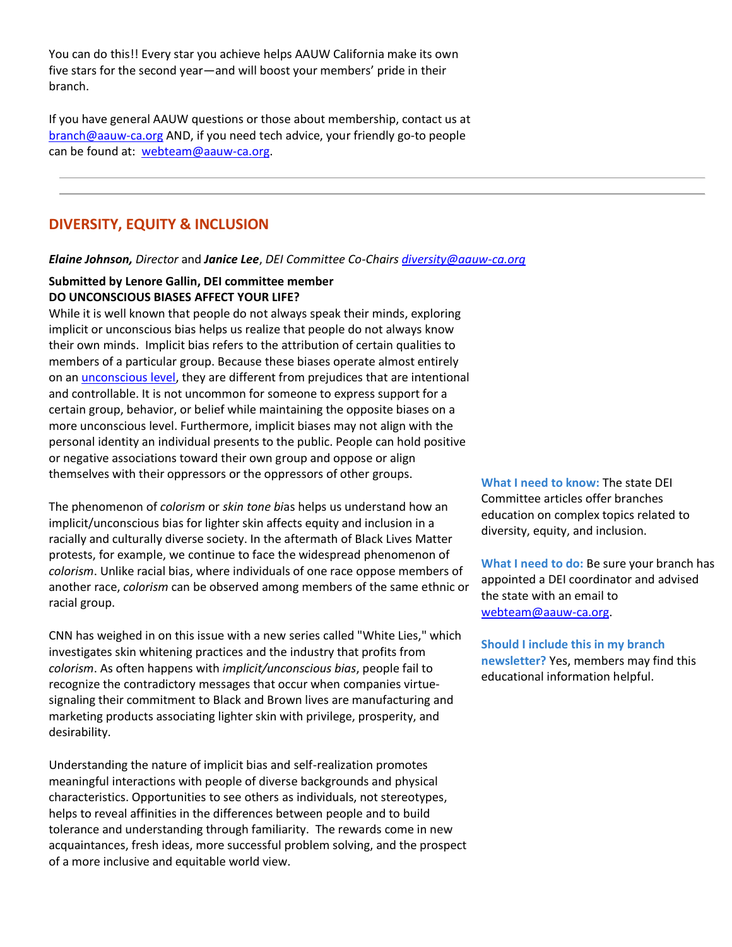You can do this!! Every star you achieve helps AAUW California make its own five stars for the second year—and will boost your members' pride in their branch.

If you have general AAUW questions or those about membership, contact us at [branch@aauw-ca.org](mailto:branch@aauw-ca.org) AND, if you need tech advice, your friendly go-to people can be found at: [webteam@aauw-ca.org.](mailto:webteam@aauw-ca.org)

# **DIVERSITY, EQUITY & INCLUSION**

*Elaine Johnson, Director* and *Janice Lee*, *DEI Committee Co-Chairs [diversity@aauw-ca.org](mailto:diversity@aauw-ca.org)*

### **Submitted by Lenore Gallin, DEI committee member DO UNCONSCIOUS BIASES AFFECT YOUR LIFE?**

While it is well known that people do not always speak their minds, exploring implicit or unconscious bias helps us realize that people do not always know their own minds. Implicit bias refers to the attribution of certain qualities to members of a particular group. Because these biases operate almost entirely on an [unconscious level,](https://bor.aauw-ca.org/sendy/l/eookH0PlDlBfYp3s1iFafA/ojV6MBCtz0zJkZYpEMktfQ/dfgaPxvGJLz8aG3dBEde6A) they are different from prejudices that are intentional and controllable. It is not uncommon for someone to express support for a certain group, behavior, or belief while maintaining the opposite biases on a more unconscious level. Furthermore, implicit biases may not align with the personal identity an individual presents to the public. People can hold positive or negative associations toward their own group and oppose or align themselves with their oppressors or the oppressors of other groups.

The phenomenon of *colorism* or *skin tone bi*as helps us understand how an implicit/unconscious bias for lighter skin affects equity and inclusion in a racially and culturally diverse society. In the aftermath of Black Lives Matter protests, for example, we continue to face the widespread phenomenon of *colorism*. Unlike racial bias, where individuals of one race oppose members of another race, *colorism* can be observed among members of the same ethnic or racial group.

CNN has weighed in on this issue with a new series called "White Lies," which investigates skin whitening practices and the industry that profits from *colorism*. As often happens with *implicit/unconscious bias*, people fail to recognize the contradictory messages that occur when companies virtuesignaling their commitment to Black and Brown lives are manufacturing and marketing products associating lighter skin with privilege, prosperity, and desirability.

Understanding the nature of implicit bias and self-realization promotes meaningful interactions with people of diverse backgrounds and physical characteristics. Opportunities to see others as individuals, not stereotypes, helps to reveal affinities in the differences between people and to build tolerance and understanding through familiarity. The rewards come in new acquaintances, fresh ideas, more successful problem solving, and the prospect of a more inclusive and equitable world view.

**What I need to know:** The state DEI Committee articles offer branches education on complex topics related to diversity, equity, and inclusion.

**What I need to do:** Be sure your branch has appointed a DEI coordinator and advised the state with an email to [webteam@aauw-ca.org.](mailto:webteam@aauw-ca.org)

**Should I include this in my branch newsletter?** Yes, members may find this educational information helpful.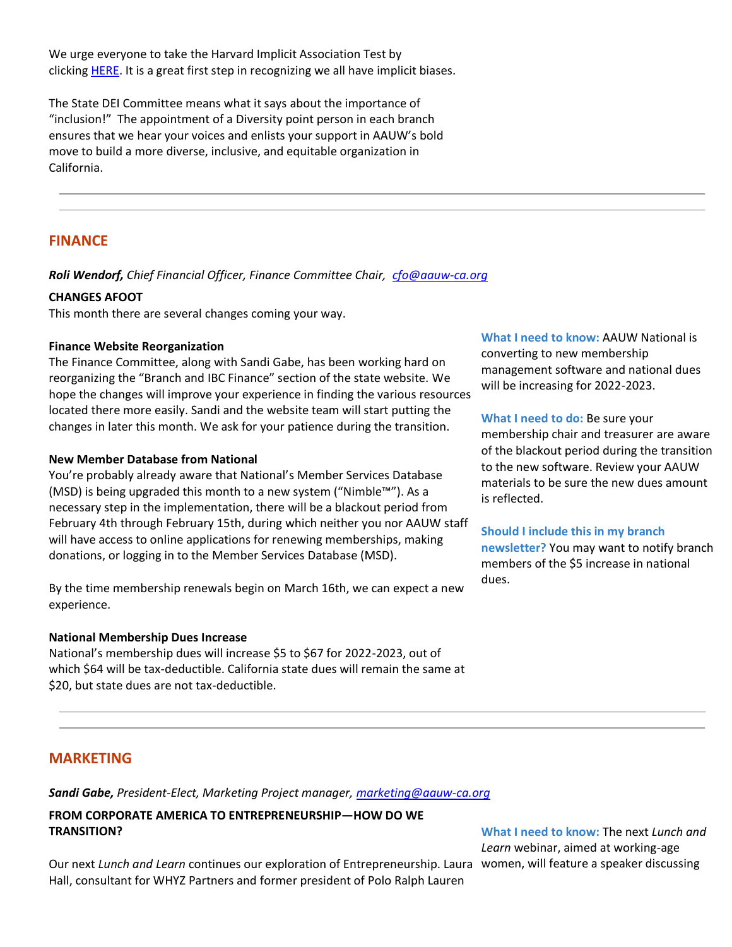We urge everyone to take the Harvard Implicit Association Test by clicking **HERE**. It is a great first step in recognizing we all have implicit biases.

The State DEI Committee means what it says about the importance of "inclusion!" The appointment of a Diversity point person in each branch ensures that we hear your voices and enlists your support in AAUW's bold move to build a more diverse, inclusive, and equitable organization in California.

## **FINANCE**

*Roli Wendorf, Chief Financial Officer, Finance Committee Chair, [cfo@aauw-ca.org](mailto:cfo@aauw-ca.org)*

#### **CHANGES AFOOT**

This month there are several changes coming your way.

#### **Finance Website Reorganization**

The Finance Committee, along with Sandi Gabe, has been working hard on reorganizing the "Branch and IBC Finance" section of the state website. We hope the changes will improve your experience in finding the various resources located there more easily. Sandi and the website team will start putting the changes in later this month. We ask for your patience during the transition.

#### **New Member Database from National**

You're probably already aware that National's Member Services Database (MSD) is being upgraded this month to a new system ("Nimble™"). As a necessary step in the implementation, there will be a blackout period from February 4th through February 15th, during which neither you nor AAUW staff will have access to online applications for renewing memberships, making donations, or logging in to the Member Services Database (MSD).

By the time membership renewals begin on March 16th, we can expect a new experience.

#### **National Membership Dues Increase**

National's membership dues will increase \$5 to \$67 for 2022-2023, out of which \$64 will be tax-deductible. California state dues will remain the same at \$20, but state dues are not tax-deductible.

**What I need to know:** AAUW National is converting to new membership management software and national dues will be increasing for 2022-2023.

**What I need to do:** Be sure your membership chair and treasurer are aware of the blackout period during the transition to the new software. Review your AAUW materials to be sure the new dues amount is reflected.

**Should I include this in my branch newsletter?** You may want to notify branch members of the \$5 increase in national dues.

# **MARKETING**

*Sandi Gabe, President-Elect, Marketing Project manager, [marketing@aauw-ca.org](mailto:marketing@aauw-ca.org)*

### **FROM CORPORATE AMERICA TO ENTREPRENEURSHIP—HOW DO WE TRANSITION?**

**What I need to know:** The next *Lunch and Learn* webinar, aimed at working-age

Our next *Lunch and Learn* continues our exploration of Entrepreneurship. Laura women, will feature a speaker discussing Hall, consultant for WHYZ Partners and former president of Polo Ralph Lauren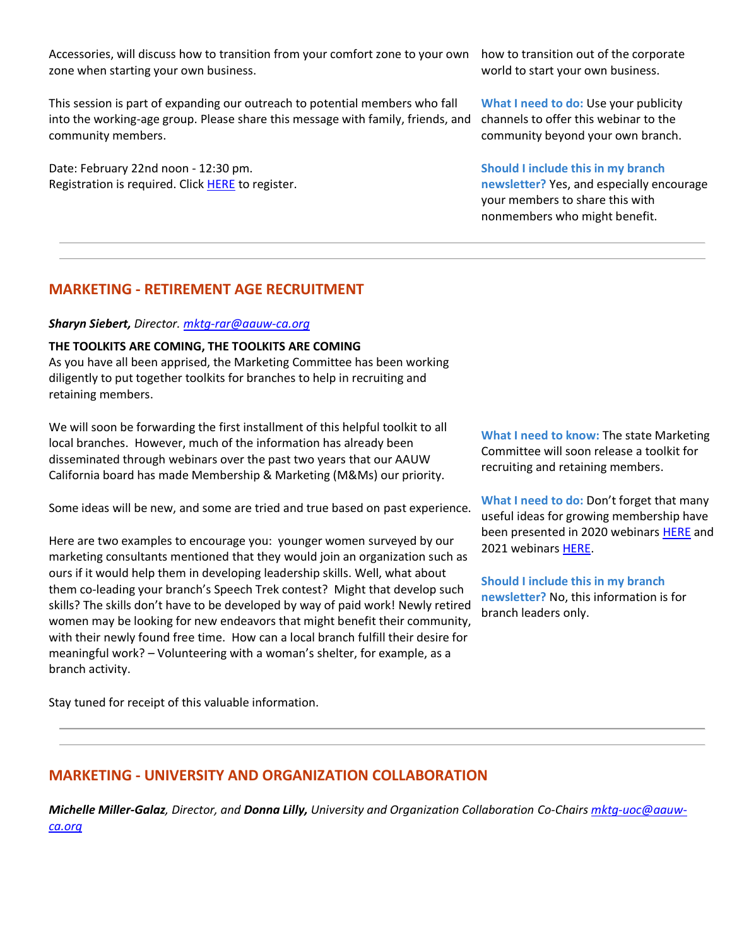Accessories, will discuss how to transition from your comfort zone to your own zone when starting your own business.

This session is part of expanding our outreach to potential members who fall into the working-age group. Please share this message with family, friends, and community members.

Date: February 22nd noon - 12:30 pm. Registration is required. Click [HERE](https://bor.aauw-ca.org/sendy/l/eookH0PlDlBfYp3s1iFafA/bwtAJjQy763HIh3cQLydYHZg/dfgaPxvGJLz8aG3dBEde6A) to register. how to transition out of the corporate world to start your own business.

**What I need to do:** Use your publicity channels to offer this webinar to the community beyond your own branch.

**Should I include this in my branch newsletter?** Yes, and especially encourage your members to share this with nonmembers who might benefit.

# **MARKETING - RETIREMENT AGE RECRUITMENT**

#### *Sharyn Siebert, Director. [mktg-rar@aauw-ca.org](mailto:mktg-rar@aauw-ca.org)*

#### **THE TOOLKITS ARE COMING, THE TOOLKITS ARE COMING**

As you have all been apprised, the Marketing Committee has been working diligently to put together toolkits for branches to help in recruiting and retaining members.

We will soon be forwarding the first installment of this helpful toolkit to all local branches. However, much of the information has already been disseminated through webinars over the past two years that our AAUW California board has made Membership & Marketing (M&Ms) our priority.

Some ideas will be new, and some are tried and true based on past experience.

Here are two examples to encourage you: younger women surveyed by our marketing consultants mentioned that they would join an organization such as ours if it would help them in developing leadership skills. Well, what about them co-leading your branch's Speech Trek contest? Might that develop such skills? The skills don't have to be developed by way of paid work! Newly retired women may be looking for new endeavors that might benefit their community, with their newly found free time. How can a local branch fulfill their desire for meaningful work? – Volunteering with a woman's shelter, for example, as a branch activity.

Stay tuned for receipt of this valuable information.

**What I need to know:** The state Marketing Committee will soon release a toolkit for recruiting and retaining members.

**What I need to do:** Don't forget that many useful ideas for growing membership have been presented in 2020 webinars [HERE](https://bor.aauw-ca.org/sendy/l/eookH0PlDlBfYp3s1iFafA/n9gfeCBHrBYklueuGaXNPA/dfgaPxvGJLz8aG3dBEde6A) and 2021 webinar[s HERE.](https://bor.aauw-ca.org/sendy/l/eookH0PlDlBfYp3s1iFafA/uvr4zii5E8gITaRpu7638LJA/dfgaPxvGJLz8aG3dBEde6A)

**Should I include this in my branch newsletter?** No, this information is for branch leaders only.

# **MARKETING - UNIVERSITY AND ORGANIZATION COLLABORATION**

*Michelle Miller-Galaz, Director, and Donna Lilly, University and Organization Collaboration Co-Chairs [mktg-uoc@aauw](mailto:mktg-uoc@aauw-ca.org)[ca.org](mailto:mktg-uoc@aauw-ca.org)*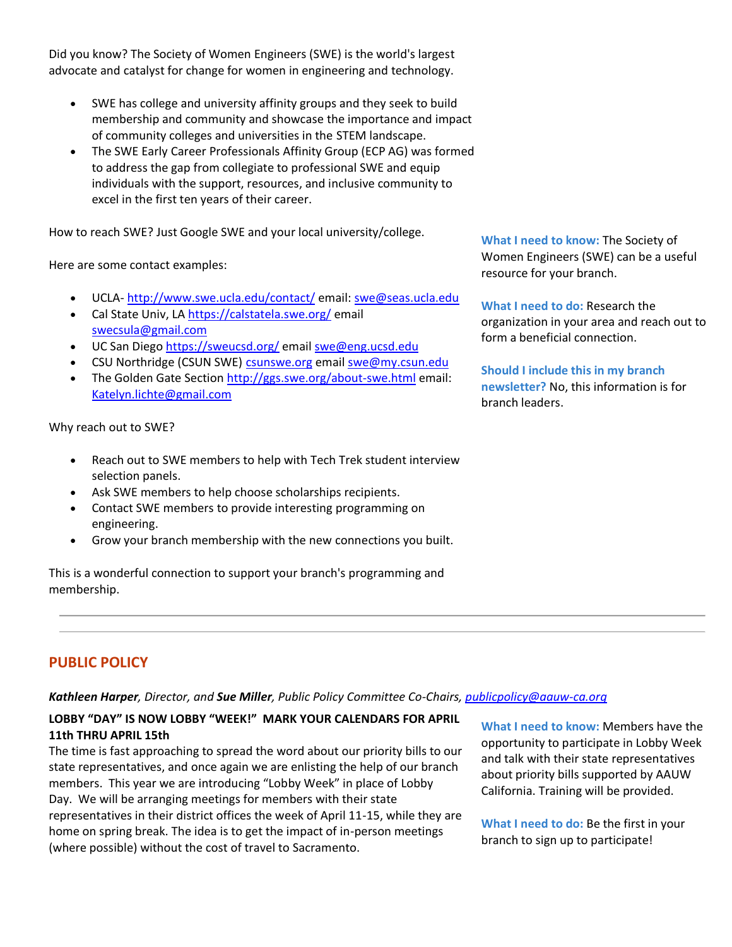Did you know? The Society of Women Engineers (SWE) is the world's largest advocate and catalyst for change for women in engineering and technology.

- SWE has college and university affinity groups and they seek to build membership and community and showcase the importance and impact of community colleges and universities in the STEM landscape.
- The SWE Early Career Professionals Affinity Group (ECP AG) was formed to address the gap from collegiate to professional SWE and equip individuals with the support, resources, and inclusive community to excel in the first ten years of their career.

How to reach SWE? Just Google SWE and your local university/college.

Here are some contact examples:

- UCLA- [http://www.swe.ucla.edu/contact/](https://bor.aauw-ca.org/sendy/l/eookH0PlDlBfYp3s1iFafA/merbOm1Ss1A9aLGZQTTh1A/dfgaPxvGJLz8aG3dBEde6A) email: [swe@seas.ucla.edu](mailto:swe@seas.ucla.edu)
- Cal State Univ, LA [https://calstatela.swe.org/](https://bor.aauw-ca.org/sendy/l/eookH0PlDlBfYp3s1iFafA/V0H9cGxJ3KAX3UsC1BCBYw/dfgaPxvGJLz8aG3dBEde6A) email [swecsula@gmail.com](mailto:swecsula@gmail.com)
- UC San Diego [https://sweucsd.org/](https://bor.aauw-ca.org/sendy/l/eookH0PlDlBfYp3s1iFafA/r4GbD01ZxS8nywS1sOyIfg/dfgaPxvGJLz8aG3dBEde6A) email [swe@eng.ucsd.edu](mailto:swe@eng.ucsd.edu)
- CSU Northridge (CSUN SWE) [csunswe.org](https://bor.aauw-ca.org/sendy/l/eookH0PlDlBfYp3s1iFafA/l6j8YWEA3rO7VRcKlxGHkQ/dfgaPxvGJLz8aG3dBEde6A) email [swe@my.csun.edu](mailto:swe@my.csun.edu)
- The Golden Gate Section [http://ggs.swe.org/about-swe.html](https://bor.aauw-ca.org/sendy/l/eookH0PlDlBfYp3s1iFafA/I2G9hN2La9noPD0RVHl892UA/dfgaPxvGJLz8aG3dBEde6A) email: [Katelyn.lichte@gmail.com](mailto:Katelyn.lichte@gmail.com)

Why reach out to SWE?

- Reach out to SWE members to help with Tech Trek student interview selection panels.
- Ask SWE members to help choose scholarships recipients.
- Contact SWE members to provide interesting programming on engineering.
- Grow your branch membership with the new connections you built.

This is a wonderful connection to support your branch's programming and membership.

**What I need to know:** The Society of Women Engineers (SWE) can be a useful resource for your branch.

**What I need to do:** Research the organization in your area and reach out to form a beneficial connection.

**Should I include this in my branch newsletter?** No, this information is for branch leaders.

# **PUBLIC POLICY**

# *Kathleen Harper, Director, and Sue Miller, Public Policy Committee Co-Chairs, [publicpolicy@aauw-ca.org](mailto:PublicPolicy@aauw-ca.org)*

# **LOBBY "DAY" IS NOW LOBBY "WEEK!" MARK YOUR CALENDARS FOR APRIL 11th THRU APRIL 15th**

The time is fast approaching to spread the word about our priority bills to our state representatives, and once again we are enlisting the help of our branch members. This year we are introducing "Lobby Week" in place of Lobby Day. We will be arranging meetings for members with their state representatives in their district offices the week of April 11-15, while they are home on spring break. The idea is to get the impact of in-person meetings (where possible) without the cost of travel to Sacramento.

**What I need to know:** Members have the opportunity to participate in Lobby Week and talk with their state representatives about priority bills supported by AAUW California. Training will be provided.

**What I need to do:** Be the first in your branch to sign up to participate!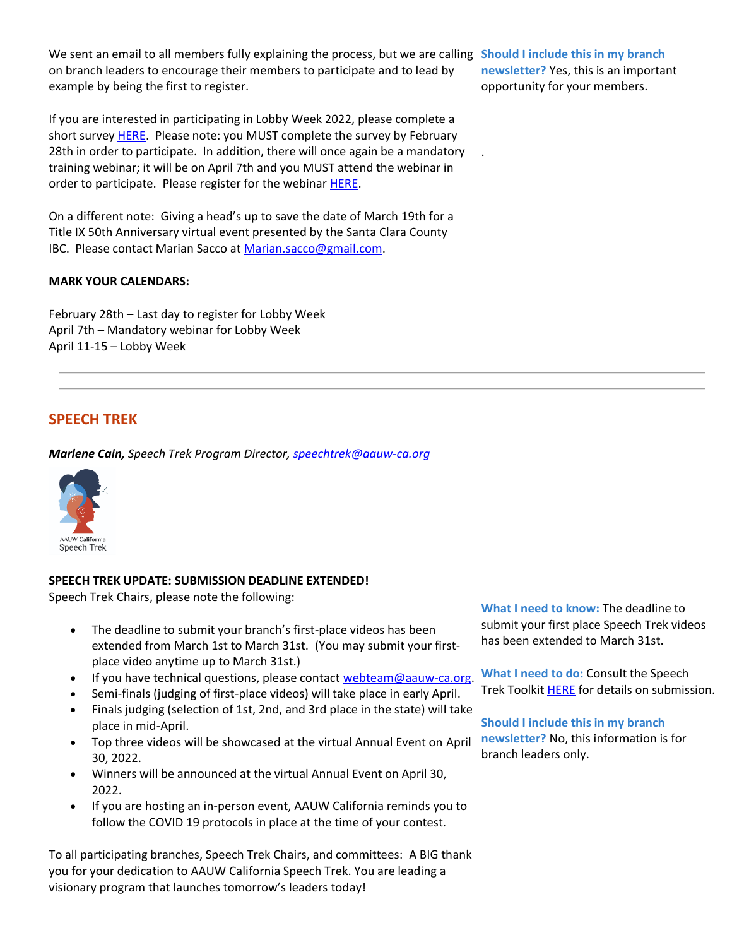We sent an email to all members fully explaining the process, but we are calling **Should I include this in my branch**  on branch leaders to encourage their members to participate and to lead by example by being the first to register.

If you are interested in participating in Lobby Week 2022, please complete a short survey **HERE**. Please note: you MUST complete the survey by February 28th in order to participate. In addition, there will once again be a mandatory training webinar; it will be on April 7th and you MUST attend the webinar in order to participate. Please register for the webinar [HERE.](https://bor.aauw-ca.org/sendy/l/eookH0PlDlBfYp3s1iFafA/1y06GWAfw08924kyagS1QkMw/dfgaPxvGJLz8aG3dBEde6A)

On a different note: Giving a head's up to save the date of March 19th for a Title IX 50th Anniversary virtual event presented by the Santa Clara County IBC. Please contact Marian Sacco at [Marian.sacco@gmail.com.](mailto:Marian.sacco@gmail.com)

#### **MARK YOUR CALENDARS:**

February 28th – Last day to register for Lobby Week April 7th – Mandatory webinar for Lobby Week April 11-15 – Lobby Week

## **SPEECH TREK**

*Marlene Cain, Speech Trek Program Director, [speechtrek@aauw-ca.org](mailto:speechtrek@aauw-ca.org)*



### **SPEECH TREK UPDATE: SUBMISSION DEADLINE EXTENDED!**

Speech Trek Chairs, please note the following:

- The deadline to submit your branch's first-place videos has been extended from March 1st to March 31st. (You may submit your firstplace video anytime up to March 31st.)
- If you have technical questions, please contact [webteam@aauw-ca.org.](mailto:webteam@aauw-ca.org)
- Semi-finals (judging of first-place videos) will take place in early April.
- Finals judging (selection of 1st, 2nd, and 3rd place in the state) will take place in mid-April.
- Top three videos will be showcased at the virtual Annual Event on April 30, 2022.
- Winners will be announced at the virtual Annual Event on April 30, 2022.
- If you are hosting an in-person event, AAUW California reminds you to follow the COVID 19 protocols in place at the time of your contest.

To all participating branches, Speech Trek Chairs, and committees: A BIG thank you for your dedication to AAUW California Speech Trek. You are leading a visionary program that launches tomorrow's leaders today!

**What I need to know:** The deadline to submit your first place Speech Trek videos has been extended to March 31st.

**What I need to do:** Consult the Speech Trek Toolkit **HERE** for details on submission.

**Should I include this in my branch newsletter?** No, this information is for branch leaders only.

**newsletter?** Yes, this is an important opportunity for your members.

.